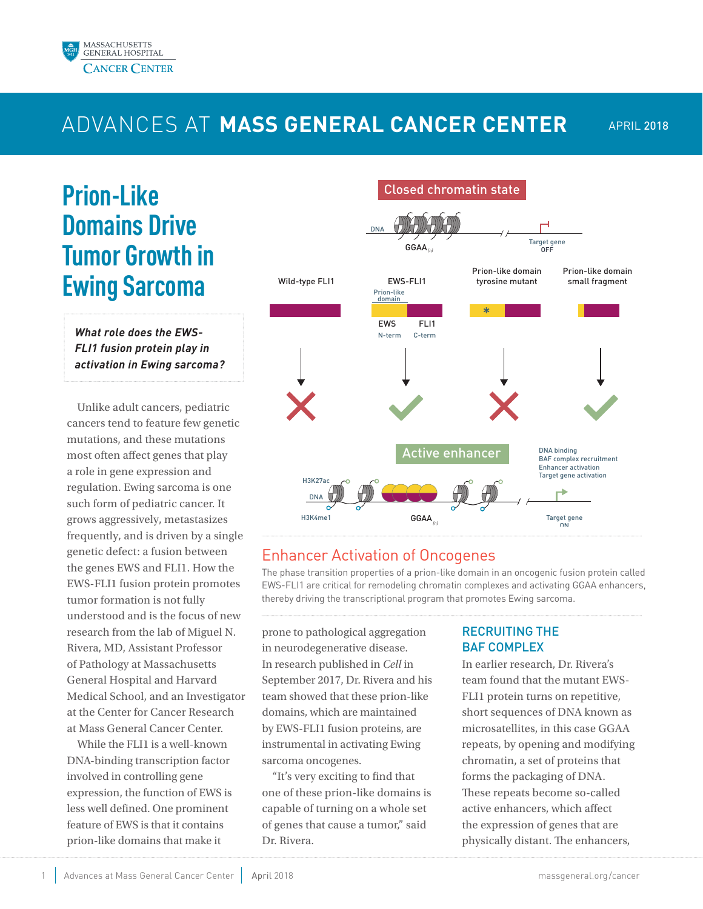

## ADVANCES AT **MASS GENERAL CANCER CENTER**

## **Prion-Like Domains Drive Tumor Growth in Ewing Sarcoma**

*What role does the EWS-FLI1 fusion protein play in activation in Ewing sarcoma?* 

Unlike adult cancers, pediatric cancers tend to feature few genetic mutations, and these mutations most often affect genes that play a role in gene expression and regulation. Ewing sarcoma is one such form of pediatric cancer. It grows aggressively, metastasizes frequently, and is driven by a single genetic defect: a fusion between the genes EWS and FLI1. How the EWS-FLI1 fusion protein promotes tumor formation is not fully understood and is the focus of new research from the lab of Miguel N. Rivera, MD, Assistant Professor of Pathology at Massachusetts General Hospital and Harvard Medical School, and an Investigator at the Center for Cancer Research at Mass General Cancer Center.

While the FLI1 is a well-known DNA-binding transcription factor involved in controlling gene expression, the function of EWS is less well defined. One prominent feature of EWS is that it contains prion-like domains that make it



## Enhancer Activation of Oncogenes

The phase transition properties of a prion-like domain in an oncogenic fusion protein called EWS-FLI1 are critical for remodeling chromatin complexes and activating GGAA enhancers, thereby driving the transcriptional program that promotes Ewing sarcoma.

prone to pathological aggregation in neurodegenerative disease. In research published in *Cell* in September 2017, Dr. Rivera and his team showed that these prion-like domains, which are maintained by EWS-FLI1 fusion proteins, are instrumental in activating Ewing sarcoma oncogenes.

"It's very exciting to find that one of these prion-like domains is capable of turning on a whole set of genes that cause a tumor," said Dr. Rivera.

### RECRUITING THE **BAF COMPLEX**

In earlier research, Dr. Rivera's team found that the mutant EWS-FLI1 protein turns on repetitive, short sequences of DNA known as microsatellites, in this case GGAA repeats, by opening and modifying chromatin, a set of proteins that forms the packaging of DNA. These repeats become so-called active enhancers, which affect the expression of genes that are physically distant. The enhancers,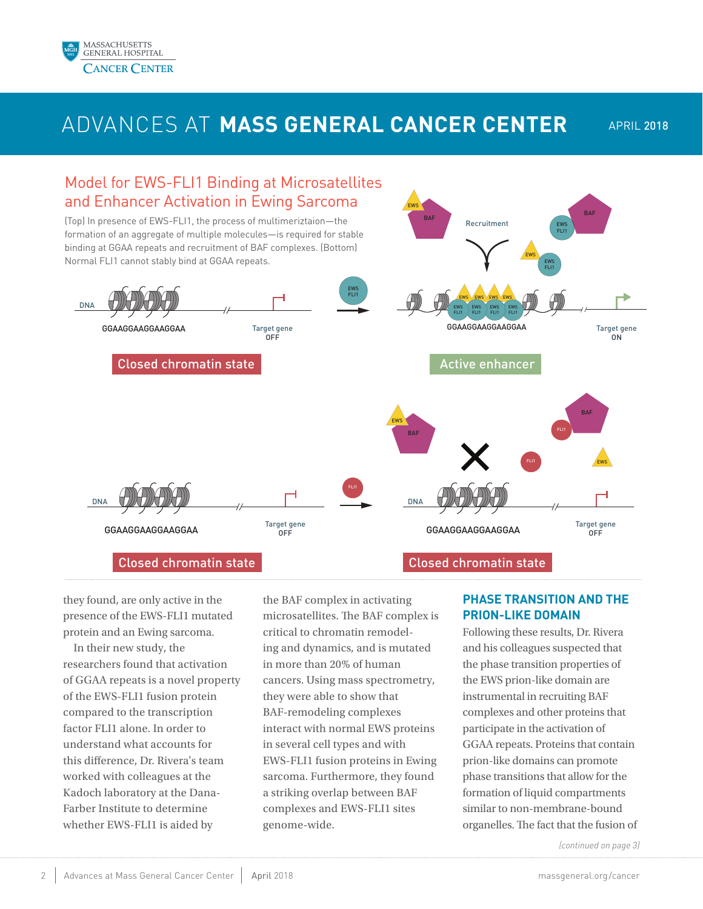

## ADVANCES AT **MASS GENERAL CANCER CENTER** APRIL 2018



they found, are only active in the presence of the EWS-FLI1 mutated protein and an Ewing sarcoma.

In their new study, the researchers found that activation of GGAA repeats is a novel property of the EWS-FLI1 fusion protein compared to the transcription factor FLI1 alone. In order to understand what accounts for this difference, Dr. Rivera's team worked with colleagues at the Kadoch laboratory at the Dana-Farber Institute to determine whether EWS-FLI1 is aided by

the BAF complex in activating microsatellites. The BAF complex is critical to chromatin remodeling and dynamics, and is mutated in more than 20% of human cancers. Using mass spectrometry, they were able to show that BAF-remodeling complexes interact with normal EWS proteins in several cell types and with EWS-FLI1 fusion proteins in Ewing sarcoma. Furthermore, they found a striking overlap between BAF complexes and EWS-FLI1 sites genome-wide.

### **PHASE TRANSITION AND THE PRION-LIKE DOMAIN**

Following these results, Dr. Rivera and his colleagues suspected that the phase transition properties of the EWS prion-like domain are instrumental in recruiting BAF complexes and other proteins that participate in the activation of GGAA repeats. Proteins that contain prion-like domains can promote phase transitions that allow for the formation of liquid compartments similar to non-membrane-bound organelles. The fact that the fusion of

*(continued on page 3)*